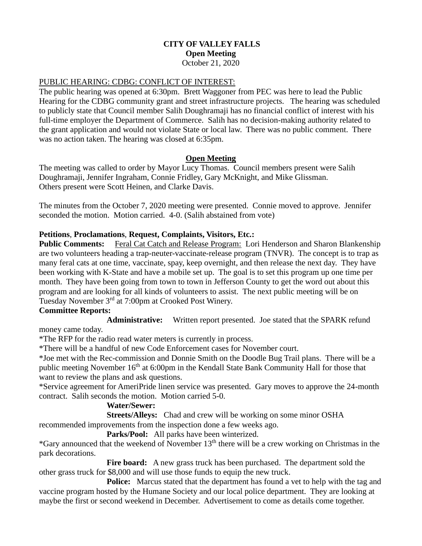## **CITY OF VALLEY FALLS Open Meeting** October 21, 2020

## PUBLIC HEARING: CDBG: CONFLICT OF INTEREST:

The public hearing was opened at 6:30pm. Brett Waggoner from PEC was here to lead the Public Hearing for the CDBG community grant and street infrastructure projects. The hearing was scheduled to publicly state that Council member Salih Doughramaji has no financial conflict of interest with his full-time employer the Department of Commerce. Salih has no decision-making authority related to the grant application and would not violate State or local law. There was no public comment. There was no action taken. The hearing was closed at 6:35pm.

## **Open Meeting**

The meeting was called to order by Mayor Lucy Thomas. Council members present were Salih Doughramaji, Jennifer Ingraham, Connie Fridley, Gary McKnight, and Mike Glissman. Others present were Scott Heinen, and Clarke Davis.

The minutes from the October 7, 2020 meeting were presented. Connie moved to approve. Jennifer seconded the motion. Motion carried. 4-0. (Salih abstained from vote)

#### **Petitions**, **Proclamations**, **Request, Complaints, Visitors, Etc.:**

**Public Comments:** Feral Cat Catch and Release Program: Lori Henderson and Sharon Blankenship are two volunteers heading a trap-neuter-vaccinate-release program (TNVR). The concept is to trap as many feral cats at one time, vaccinate, spay, keep overnight, and then release the next day. They have been working with K-State and have a mobile set up. The goal is to set this program up one time per month. They have been going from town to town in Jefferson County to get the word out about this program and are looking for all kinds of volunteers to assist. The next public meeting will be on Tuesday November 3<sup>rd</sup> at 7:00pm at Crooked Post Winery.

#### **Committee Reports:**

**Administrative:** Written report presented. Joe stated that the SPARK refund

money came today.

\*The RFP for the radio read water meters is currently in process.

\*There will be a handful of new Code Enforcement cases for November court.

\*Joe met with the Rec-commission and Donnie Smith on the Doodle Bug Trail plans. There will be a public meeting November 16<sup>th</sup> at 6:00pm in the Kendall State Bank Community Hall for those that want to review the plans and ask questions.

\*Service agreement for AmeriPride linen service was presented. Gary moves to approve the 24-month contract. Salih seconds the motion. Motion carried 5-0.

#### **Water/Sewer:**

**Streets/Alleys:** Chad and crew will be working on some minor OSHA

recommended improvements from the inspection done a few weeks ago. **Parks/Pool:** All parks have been winterized.

 $*G$ ary announced that the weekend of November  $13<sup>th</sup>$  there will be a crew working on Christmas in the park decorations.

Fire board: A new grass truck has been purchased. The department sold the other grass truck for \$8,000 and will use those funds to equip the new truck.

**Police:** Marcus stated that the department has found a vet to help with the tag and vaccine program hosted by the Humane Society and our local police department. They are looking at maybe the first or second weekend in December. Advertisement to come as details come together.